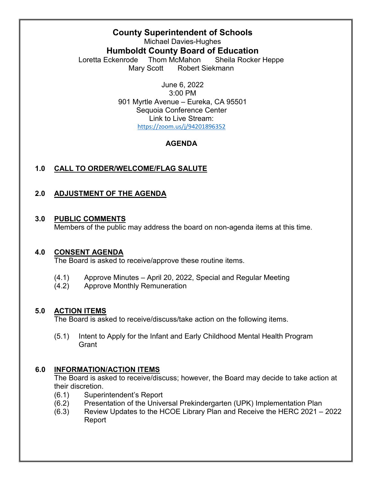# **County Superintendent of Schools**

Michael Davies-Hughes **Humboldt County Board of Education** Loretta Eckenrode Thom McMahon Sheila Rocker Heppe Mary Scott Robert Siekmann

> June 6, 2022 3:00 PM 901 Myrtle Avenue – Eureka, CA 95501 Sequoia Conference Center Link to Live Stream: <https://zoom.us/j/94201896352>

## **AGENDA**

# **1.0 CALL TO ORDER/WELCOME/FLAG SALUTE**

# **2.0 ADJUSTMENT OF THE AGENDA**

#### **3.0 PUBLIC COMMENTS**

Members of the public may address the board on non-agenda items at this time.

#### **4.0 CONSENT AGENDA**

The Board is asked to receive/approve these routine items.

- (4.1) Approve Minutes April 20, 2022, Special and Regular Meeting
- (4.2) Approve Monthly Remuneration

### **5.0 ACTION ITEMS**

The Board is asked to receive/discuss/take action on the following items.

(5.1) Intent to Apply for the Infant and Early Childhood Mental Health Program **Grant** 

### **6.0 INFORMATION/ACTION ITEMS**

The Board is asked to receive/discuss; however, the Board may decide to take action at their discretion.

- (6.1) Superintendent's Report
- (6.2) Presentation of the Universal Prekindergarten (UPK) Implementation Plan
- (6.3) Review Updates to the HCOE Library Plan and Receive the HERC 2021 2022 Report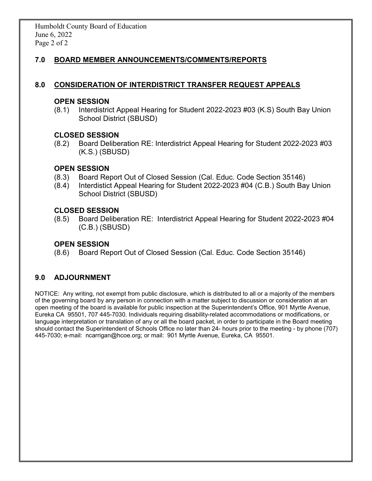## **7.0 BOARD MEMBER ANNOUNCEMENTS/COMMENTS/REPORTS**

### **8.0 CONSIDERATION OF INTERDISTRICT TRANSFER REQUEST APPEALS**

#### **OPEN SESSION**

(8.1) Interdistrict Appeal Hearing for Student 2022-2023 #03 (K.S) South Bay Union School District (SBUSD)

#### **CLOSED SESSION**

(8.2) Board Deliberation RE: Interdistrict Appeal Hearing for Student 2022-2023 #03 (K.S.) (SBUSD)

#### **OPEN SESSION**

- (8.3) Board Report Out of Closed Session (Cal. Educ. Code Section 35146)
- (8.4) Interdistict Appeal Hearing for Student 2022-2023 #04 (C.B.) South Bay Union School District (SBUSD)

#### **CLOSED SESSION**

(8.5) Board Deliberation RE: Interdistrict Appeal Hearing for Student 2022-2023 #04 (C.B.) (SBUSD)

### **OPEN SESSION**

(8.6) Board Report Out of Closed Session (Cal. Educ. Code Section 35146)

### **9.0 ADJOURNMENT**

NOTICE: Any writing, not exempt from public disclosure, which is distributed to all or a majority of the members of the governing board by any person in connection with a matter subject to discussion or consideration at an open meeting of the board is available for public inspection at the Superintendent's Office, 901 Myrtle Avenue, Eureka CA 95501, 707 445-7030. Individuals requiring disability-related accommodations or modifications, or language interpretation or translation of any or all the board packet, in order to participate in the Board meeting should contact the Superintendent of Schools Office no later than 24- hours prior to the meeting - by phone (707) 445-7030; e-mail: ncarrigan@hcoe.org; or mail: 901 Myrtle Avenue, Eureka, CA 95501.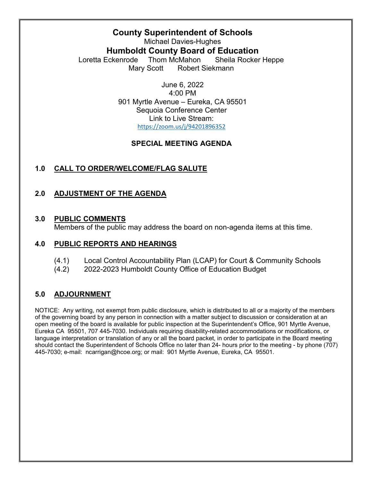# **County Superintendent of Schools**

Michael Davies-Hughes **Humboldt County Board of Education** Loretta Eckenrode Thom McMahon Sheila Rocker Heppe Mary Scott Robert Siekmann

> June 6, 2022 4:00 PM 901 Myrtle Avenue – Eureka, CA 95501 Sequoia Conference Center Link to Live Stream: <https://zoom.us/j/94201896352>

## **SPECIAL MEETING AGENDA**

# **1.0 CALL TO ORDER/WELCOME/FLAG SALUTE**

# **2.0 ADJUSTMENT OF THE AGENDA**

## **3.0 PUBLIC COMMENTS**

Members of the public may address the board on non-agenda items at this time.

# **4.0 PUBLIC REPORTS AND HEARINGS**

- (4.1) Local Control Accountability Plan (LCAP) for Court & Community Schools
- (4.2) 2022-2023 Humboldt County Office of Education Budget

# **5.0 ADJOURNMENT**

NOTICE: Any writing, not exempt from public disclosure, which is distributed to all or a majority of the members of the governing board by any person in connection with a matter subject to discussion or consideration at an open meeting of the board is available for public inspection at the Superintendent's Office, 901 Myrtle Avenue, Eureka CA 95501, 707 445-7030. Individuals requiring disability-related accommodations or modifications, or language interpretation or translation of any or all the board packet, in order to participate in the Board meeting should contact the Superintendent of Schools Office no later than 24- hours prior to the meeting - by phone (707) 445-7030; e-mail: ncarrigan@hcoe.org; or mail: 901 Myrtle Avenue, Eureka, CA 95501.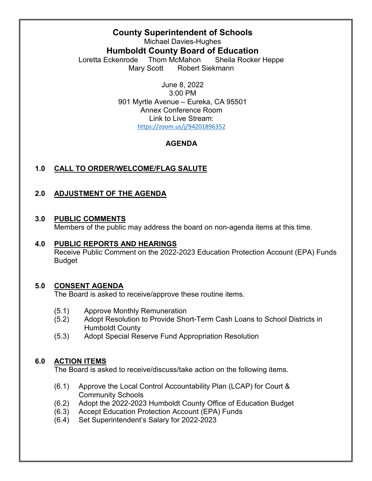# **County Superintendent of Schools**

Michael Davies-Hughes **Humboldt County Board of Education** Loretta Eckenrode Thom McMahon Sheila Rocker Heppe Mary Scott Robert Siekmann

> June 8, 2022 3:00 PM 901 Myrtle Avenue – Eureka, CA 95501 Annex Conference Room Link to Live Stream: <https://zoom.us/j/94201896352>

## **AGENDA**

# **1.0 CALL TO ORDER/WELCOME/FLAG SALUTE**

# **2.0 ADJUSTMENT OF THE AGENDA**

### **3.0 PUBLIC COMMENTS**

Members of the public may address the board on non-agenda items at this time.

### **4.0 PUBLIC REPORTS AND HEARINGS**

Receive Public Comment on the 2022-2023 Education Protection Account (EPA) Funds Budget

# **5.0 CONSENT AGENDA**

The Board is asked to receive/approve these routine items.

- (5.1) Approve Monthly Remuneration
- (5.2) Adopt Resolution to Provide Short-Term Cash Loans to School Districts in Humboldt County
- (5.3) Adopt Special Reserve Fund Appropriation Resolution

### **6.0 ACTION ITEMS**

The Board is asked to receive/discuss/take action on the following items.

- (6.1) Approve the Local Control Accountability Plan (LCAP) for Court & Community Schools
- (6.2) Adopt the 2022-2023 Humboldt County Office of Education Budget
- (6.3) Accept Education Protection Account (EPA) Funds
- (6.4) Set Superintendent's Salary for 2022-2023